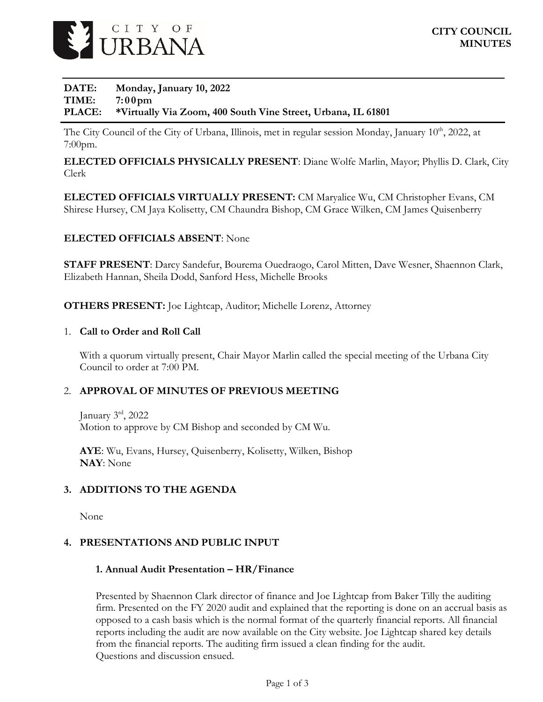

## **DATE: Monday, January 10, 2022 TIME: 7:00pm PLACE: \*Virtually Via Zoom, 400 South Vine Street, Urbana, IL 61801**

The City Council of the City of Urbana, Illinois, met in regular session Monday, January 10<sup>th</sup>, 2022, at 7:00pm.

**ELECTED OFFICIALS PHYSICALLY PRESENT**: Diane Wolfe Marlin, Mayor; Phyllis D. Clark, City Clerk

**ELECTED OFFICIALS VIRTUALLY PRESENT:** CM Maryalice Wu, CM Christopher Evans, CM Shirese Hursey, CM Jaya Kolisetty, CM Chaundra Bishop, CM Grace Wilken, CM James Quisenberry

## **ELECTED OFFICIALS ABSENT**: None

**STAFF PRESENT**: Darcy Sandefur, Bourema Ouedraogo, Carol Mitten, Dave Wesner, Shaennon Clark, Elizabeth Hannan, Sheila Dodd, Sanford Hess, Michelle Brooks

**OTHERS PRESENT:** Joe Lightcap, Auditor; Michelle Lorenz, Attorney

### 1. **Call to Order and Roll Call**

With a quorum virtually present, Chair Mayor Marlin called the special meeting of the Urbana City Council to order at 7:00 PM.

### 2. **APPROVAL OF MINUTES OF PREVIOUS MEETING**

January  $3<sup>rd</sup>$ , 2022 Motion to approve by CM Bishop and seconded by CM Wu.

**AYE**: Wu, Evans, Hursey, Quisenberry, Kolisetty, Wilken, Bishop **NAY**: None

### **3. ADDITIONS TO THE AGENDA**

None

### **4. PRESENTATIONS AND PUBLIC INPUT**

#### **1. Annual Audit Presentation – HR/Finance**

Presented by Shaennon Clark director of finance and Joe Lightcap from Baker Tilly the auditing firm. Presented on the FY 2020 audit and explained that the reporting is done on an accrual basis as opposed to a cash basis which is the normal format of the quarterly financial reports. All financial reports including the audit are now available on the City website. Joe Lightcap shared key details from the financial reports. The auditing firm issued a clean finding for the audit. Questions and discussion ensued.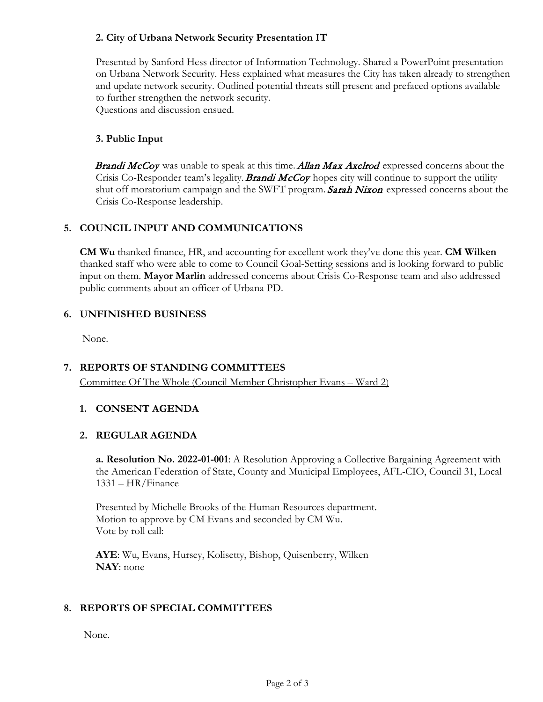## **2. City of Urbana Network Security Presentation IT**

Presented by Sanford Hess director of Information Technology. Shared a PowerPoint presentation on Urbana Network Security. Hess explained what measures the City has taken already to strengthen and update network security. Outlined potential threats still present and prefaced options available to further strengthen the network security. Questions and discussion ensued.

**3. Public Input**

**Brandi McCoy** was unable to speak at this time. **Allan Max Axelrod** expressed concerns about the Crisis Co-Responder team's legality. **Brandi McCoy** hopes city will continue to support the utility shut off moratorium campaign and the SWFT program. Sarah Nixon expressed concerns about the Crisis Co-Response leadership.

# **5. COUNCIL INPUT AND COMMUNICATIONS**

**CM Wu** thanked finance, HR, and accounting for excellent work they've done this year. **CM Wilken** thanked staff who were able to come to Council Goal-Setting sessions and is looking forward to public input on them. **Mayor Marlin** addressed concerns about Crisis Co-Response team and also addressed public comments about an officer of Urbana PD.

# **6. UNFINISHED BUSINESS**

None.

# **7. REPORTS OF STANDING COMMITTEES**

Committee Of The Whole (Council Member Christopher Evans – Ward 2)

# **1. CONSENT AGENDA**

# **2. REGULAR AGENDA**

**a. Resolution No. 2022-01-001**: A Resolution Approving a Collective Bargaining Agreement with the American Federation of State, County and Municipal Employees, AFL-CIO, Council 31, Local 1331 – HR/Finance

Presented by Michelle Brooks of the Human Resources department. Motion to approve by CM Evans and seconded by CM Wu. Vote by roll call:

**AYE**: Wu, Evans, Hursey, Kolisetty, Bishop, Quisenberry, Wilken **NAY**: none

# **8. REPORTS OF SPECIAL COMMITTEES**

None.